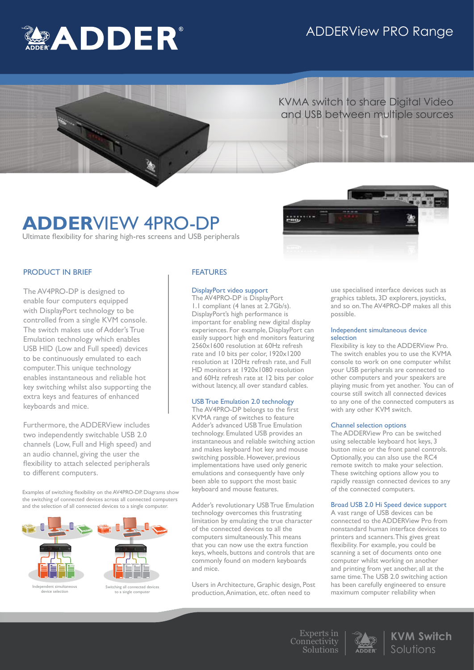# ADDERView PRO Range



 KVMA switch to share Digital Video and USB between multiple sources

# **ADDER**VIEW 4PRO-DP

Ultimate flexibility for sharing high-res screens and USB peripherals



## PRODUCT IN BRIEF

The AV4PRO-DP is designed to enable four computers equipped with DisplayPort technology to be controlled from a single KVM console. The switch makes use of Adder's True Emulation technology which enables USB HID (Low and Full speed) devices to be continuously emulated to each computer. This unique technology enables instantaneous and reliable hot key switching whilst also supporting the extra keys and features of enhanced keyboards and mice.

Furthermore, the ADDERView includes two independently switchable USB 2.0 channels (Low, Full and High speed) and an audio channel, giving the user the flexibility to attach selected peripherals to different computers.

Examples of switching flexibility on the AV4PRO-DP. Diagrams show the switching of connected devices across all connected computers and the selection of all connected devices to a single computer.



device selection

Switching all connected device , an sommoose<br>Lisingle compu

# FEATURES

### DisplayPort video support

The AV4PRO-DP is DisplayPort 1.1 compliant (4 lanes at 2.7Gb/s). DisplayPort's high performance is important for enabling new digital display experiences. For example, DisplayPort can easily support high end monitors featuring 2560x1600 resolution at 60Hz refresh rate and 10 bits per color, 1920x1200 resolution at 120Hz refresh rate, and Full HD monitors at 1920x1080 resolution and 60Hz refresh rate at 12 bits per color without latency, all over standard cables.

# USB True Emulation 2.0 technology

The AV4PRO-DP belongs to the first KVMA range of switches to feature Adder's advanced USB True Emulation technology. Emulated USB provides an instantaneous and reliable switching action and makes keyboard hot key and mouse switching possible. However, previous implementations have used only generic emulations and consequently have only been able to support the most basic keyboard and mouse features.

Adder's revolutionary USB True Emulation technology overcomes this frustrating limitation by emulating the true character of the connected devices to all the computers simultaneously. This means that you can now use the extra function keys, wheels, buttons and controls that are commonly found on modern keyboards and mice.

Users in Architecture, Graphic design, Post production, Animation, etc. often need to

use specialised interface devices such as graphics tablets, 3D explorers, joysticks, and so on. The AV4PRO-DP makes all this possible.

### Independent simultaneous device selection

Flexibility is key to the ADDERView Pro. The switch enables you to use the KVMA console to work on one computer whilst your USB peripherals are connected to other computers and your speakers are playing music from yet another. You can of course still switch all connected devices to any one of the connected computers as with any other KVM switch.

#### Channel selection options

The ADDERView Pro can be switched using selectable keyboard hot keys, 3 button mice or the front panel controls. Optionally, you can also use the RC4 remote switch to make your selection. These switching options allow you to rapidly reassign connected devices to any of the connected computers.

# Broad USB 2.0 Hi Speed device support

A vast range of USB devices can be connected to the ADDERView Pro from nonstandard human interface devices to printers and scanners. This gives great flexibility. For example, you could be scanning a set of documents onto one computer whilst working on another and printing from yet another, all at the same time. The USB 2.0 switching action has been carefully engineered to ensure maximum computer reliability when

Experts in Connectivity Solutions



**KVM Switch** Solutions